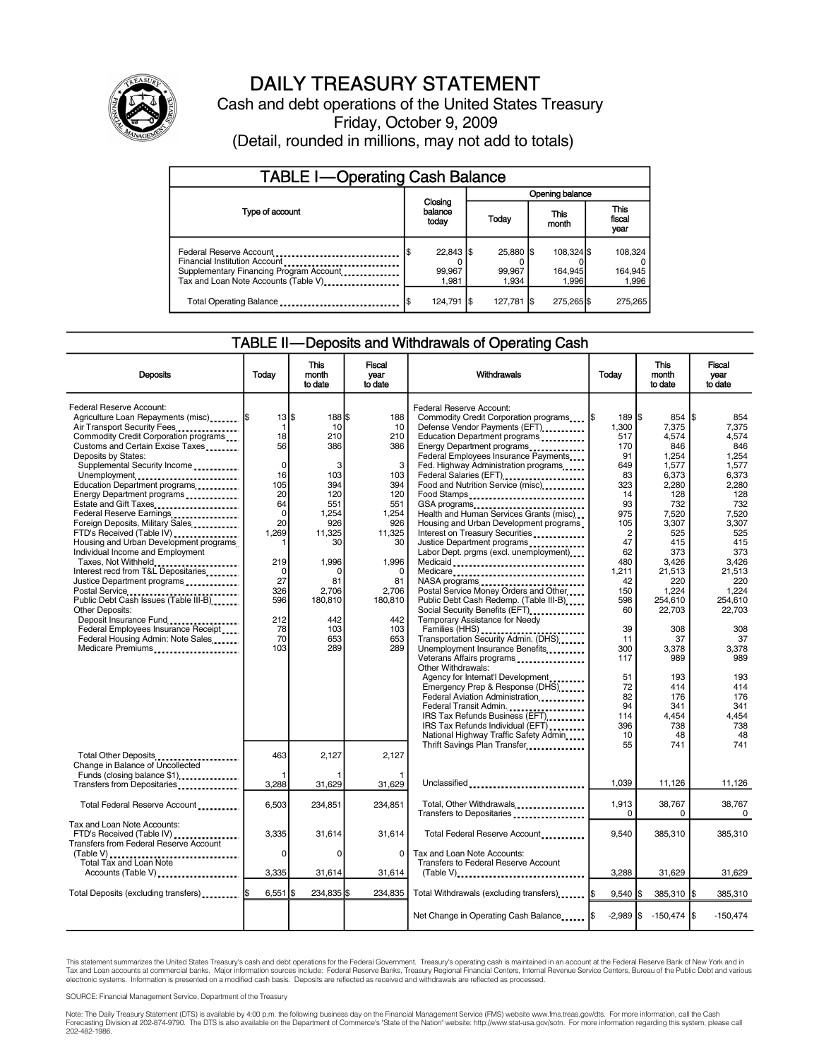

## DAILY TREASURY STATEMENT

Cash and debt operations of the United States Treasury Friday, October 9, 2009 (Detail, rounded in millions, may not add to totals)

| <b>TABLE I-Operating Cash Balance</b>                                                                                                       |  |                                |                                     |                 |                               |                                |  |                             |
|---------------------------------------------------------------------------------------------------------------------------------------------|--|--------------------------------|-------------------------------------|-----------------|-------------------------------|--------------------------------|--|-----------------------------|
|                                                                                                                                             |  |                                | Opening balance                     |                 |                               |                                |  |                             |
| Type of account                                                                                                                             |  | Closing<br>balance<br>today    | This<br>Today<br>month<br>25,880 \$ |                 | <b>This</b><br>fiscal<br>year |                                |  |                             |
| Federal Reserve Account<br>Financial Institution Account<br>Supplementary Financing Program Account<br>Tax and Loan Note Accounts (Table V) |  | $22,843$ \$<br>99,967<br>1.981 |                                     | 99,967<br>1.934 |                               | 108.324 \$<br>164.945<br>1.996 |  | 108,324<br>164,945<br>1,996 |
| Total Operating Balance                                                                                                                     |  | 124,791                        |                                     | $127,781$ \$    |                               | 275,265 \$                     |  | 275,265                     |

### TABLE II—Deposits and Withdrawals of Operating Cash

| <b>Deposits</b>                                                                                                                                                                                                                                                                                                                                                                                                                                                                                                                                                                                                                                                                                                                                                                                                                       | Today                                                                                                                                                                 | <b>This</b><br>month<br>to date                                                                                                                               | <b>Fiscal</b><br>vear<br>to date                                                                                                                                    | Withdrawals                                                                                                                                                                                                                                                                                                                                                                                                                                                                                                                                                                                                                                                                                                                                                                                                                                                                                                                                                                                                                                                                                                                                         | Today                                                                                                                                                                                                                                                | <b>This</b><br>month<br>to date                                                                                                                                                                                                                              | Fiscal<br>vear<br>to date                                                                                                                                                                                                                                    |
|---------------------------------------------------------------------------------------------------------------------------------------------------------------------------------------------------------------------------------------------------------------------------------------------------------------------------------------------------------------------------------------------------------------------------------------------------------------------------------------------------------------------------------------------------------------------------------------------------------------------------------------------------------------------------------------------------------------------------------------------------------------------------------------------------------------------------------------|-----------------------------------------------------------------------------------------------------------------------------------------------------------------------|---------------------------------------------------------------------------------------------------------------------------------------------------------------|---------------------------------------------------------------------------------------------------------------------------------------------------------------------|-----------------------------------------------------------------------------------------------------------------------------------------------------------------------------------------------------------------------------------------------------------------------------------------------------------------------------------------------------------------------------------------------------------------------------------------------------------------------------------------------------------------------------------------------------------------------------------------------------------------------------------------------------------------------------------------------------------------------------------------------------------------------------------------------------------------------------------------------------------------------------------------------------------------------------------------------------------------------------------------------------------------------------------------------------------------------------------------------------------------------------------------------------|------------------------------------------------------------------------------------------------------------------------------------------------------------------------------------------------------------------------------------------------------|--------------------------------------------------------------------------------------------------------------------------------------------------------------------------------------------------------------------------------------------------------------|--------------------------------------------------------------------------------------------------------------------------------------------------------------------------------------------------------------------------------------------------------------|
| Federal Reserve Account:<br>Agriculture Loan Repayments (misc)  \$<br>Air Transport Security Fees<br>Commodity Credit Corporation programs<br>Customs and Certain Excise Taxes<br>Deposits by States:<br>Supplemental Security Income<br>Unemployment<br>Education Department programs<br>Energy Department programs<br>Estate and Gift Taxes<br>Federal Reserve Earnings<br>Foreign Deposits, Military Sales<br>FTD's Received (Table IV)<br>Housing and Urban Development programs<br>Individual Income and Employment<br>Taxes, Not Withheld<br>Interest recd from T&L Depositaries<br>Justice Department programs<br>Postal Service<br>Public Debt Cash Issues (Table III-B)<br><b>Other Deposits:</b><br>Deposit Insurance Fund<br>Federal Employees Insurance Receipt<br>Federal Housing Admin: Note Sales<br>Medicare Premiums | $13$ $\bar{3}$<br>1<br>18<br>56<br>$\Omega$<br>16<br>105<br>20<br>64<br>$\Omega$<br>20<br>1,269<br>1<br>219<br>$\Omega$<br>27<br>326<br>596<br>212<br>78<br>70<br>103 | 188S<br>10<br>210<br>386<br>3<br>103<br>394<br>120<br>551<br>1,254<br>926<br>11,325<br>30<br>1,996<br>C<br>81<br>2,706<br>180,810<br>442<br>103<br>653<br>289 | 188<br>10<br>210<br>386<br>3<br>103<br>394<br>120<br>551<br>1,254<br>926<br>11,325<br>30<br>1,996<br>$\Omega$<br>81<br>2,706<br>180,810<br>442<br>103<br>653<br>289 | Federal Reserve Account:<br>Commodity Credit Corporation programs<br>Defense Vendor Payments (EFT)<br>Education Department programs<br>Energy Department programs<br>Federal Employees Insurance Payments<br>Fed. Highway Administration programs<br>Federal Salaries (EFT)<br>Food and Nutrition Service (misc)<br>Food Stamps<br>GSA programs<br>Health and Human Services Grants (misc)<br>Housing and Urban Development programs<br>Interest on Treasury Securities<br>Justice Department programs<br>Labor Dept. prgms (excl. unemployment)<br>Medicaid<br>Medicare<br>NASA programs<br>Postal Service Money Orders and Other<br>Public Debt Cash Redemp. (Table III-B)<br>Social Security Benefits (EFT)<br>Temporary Assistance for Needy<br>Families (HHS)<br>Transportation Security Admin. (DHS)<br>Unemployment Insurance Benefits<br>Veterans Affairs programs<br>Other Withdrawals:<br>Agency for Internat'l Development<br>Emergency Prep & Response (DHS)<br>Federal Aviation Administration<br>Federal Transit Admin<br>IRS Tax Refunds Business (EFT)<br>IRS Tax Refunds Individual (EFT)<br>National Highway Traffic Safety Admin | $189$ $\overline{\text{s}}$<br>1,300<br>517<br>170<br>91<br>649<br>83<br>323<br>14<br>93<br>975<br>105<br>$\overline{2}$<br>47<br>62<br>480<br>1,211<br>42<br>150<br>598<br>60<br>39<br>11<br>300<br>117<br>51<br>72<br>82<br>94<br>114<br>396<br>10 | 854<br>7,375<br>4,574<br>846<br>1,254<br>1.577<br>6.373<br>2.280<br>128<br>732<br>7,520<br>3,307<br>525<br>415<br>373<br>3,426<br>21,513<br>220<br>1,224<br>254.610<br>22,703<br>308<br>37<br>3,378<br>989<br>193<br>414<br>176<br>341<br>4,454<br>738<br>48 | 854<br>7,375<br>4.574<br>846<br>1.254<br>1.577<br>6,373<br>2.280<br>128<br>732<br>7,520<br>3.307<br>525<br>415<br>373<br>3,426<br>21,513<br>220<br>1.224<br>254.610<br>22.703<br>308<br>37<br>3,378<br>989<br>193<br>414<br>176<br>341<br>4,454<br>738<br>48 |
| Total Other Deposits<br>Change in Balance of Uncollected<br>Funds (closing balance \$1)                                                                                                                                                                                                                                                                                                                                                                                                                                                                                                                                                                                                                                                                                                                                               | 463                                                                                                                                                                   | 2,127                                                                                                                                                         | 2,127                                                                                                                                                               | Thrift Savings Plan Transfer                                                                                                                                                                                                                                                                                                                                                                                                                                                                                                                                                                                                                                                                                                                                                                                                                                                                                                                                                                                                                                                                                                                        | 55                                                                                                                                                                                                                                                   | 741                                                                                                                                                                                                                                                          | 741                                                                                                                                                                                                                                                          |
| Transfers from Depositaries                                                                                                                                                                                                                                                                                                                                                                                                                                                                                                                                                                                                                                                                                                                                                                                                           | 3,288                                                                                                                                                                 | 31,629                                                                                                                                                        | 31,629                                                                                                                                                              | Unclassified                                                                                                                                                                                                                                                                                                                                                                                                                                                                                                                                                                                                                                                                                                                                                                                                                                                                                                                                                                                                                                                                                                                                        | 1,039                                                                                                                                                                                                                                                | 11,126                                                                                                                                                                                                                                                       | 11,126                                                                                                                                                                                                                                                       |
| Total Federal Reserve Account                                                                                                                                                                                                                                                                                                                                                                                                                                                                                                                                                                                                                                                                                                                                                                                                         | 6,503                                                                                                                                                                 | 234,851                                                                                                                                                       | 234.851                                                                                                                                                             | Total, Other Withdrawals<br>Transfers to Depositaries                                                                                                                                                                                                                                                                                                                                                                                                                                                                                                                                                                                                                                                                                                                                                                                                                                                                                                                                                                                                                                                                                               | 1.913<br>$\Omega$                                                                                                                                                                                                                                    | 38,767<br>0                                                                                                                                                                                                                                                  | 38.767<br>$\Omega$                                                                                                                                                                                                                                           |
| Tax and Loan Note Accounts:<br>FTD's Received (Table IV)<br><b>Transfers from Federal Reserve Account</b><br>(Table V)<br>Total Tax and Loan Note                                                                                                                                                                                                                                                                                                                                                                                                                                                                                                                                                                                                                                                                                     | 3,335<br>0                                                                                                                                                            | 31,614<br>$\mathbf 0$                                                                                                                                         | 31,614<br>$\Omega$                                                                                                                                                  | Total Federal Reserve Account<br>Tax and Loan Note Accounts:<br><b>Transfers to Federal Reserve Account</b>                                                                                                                                                                                                                                                                                                                                                                                                                                                                                                                                                                                                                                                                                                                                                                                                                                                                                                                                                                                                                                         | 9,540                                                                                                                                                                                                                                                | 385,310                                                                                                                                                                                                                                                      | 385,310                                                                                                                                                                                                                                                      |
| Accounts (Table V)                                                                                                                                                                                                                                                                                                                                                                                                                                                                                                                                                                                                                                                                                                                                                                                                                    | 3,335                                                                                                                                                                 | 31,614                                                                                                                                                        | 31,614                                                                                                                                                              | (Table V)                                                                                                                                                                                                                                                                                                                                                                                                                                                                                                                                                                                                                                                                                                                                                                                                                                                                                                                                                                                                                                                                                                                                           | 3,288                                                                                                                                                                                                                                                | 31,629                                                                                                                                                                                                                                                       | 31,629                                                                                                                                                                                                                                                       |
| Total Deposits (excluding transfers)  \$                                                                                                                                                                                                                                                                                                                                                                                                                                                                                                                                                                                                                                                                                                                                                                                              | $6,551$ $\sqrt{3}$                                                                                                                                                    | 234.835 \$                                                                                                                                                    | 234.835                                                                                                                                                             | Total Withdrawals (excluding transfers) I\$                                                                                                                                                                                                                                                                                                                                                                                                                                                                                                                                                                                                                                                                                                                                                                                                                                                                                                                                                                                                                                                                                                         | 9.540                                                                                                                                                                                                                                                | 385,310 \$                                                                                                                                                                                                                                                   | 385,310                                                                                                                                                                                                                                                      |
|                                                                                                                                                                                                                                                                                                                                                                                                                                                                                                                                                                                                                                                                                                                                                                                                                                       |                                                                                                                                                                       |                                                                                                                                                               |                                                                                                                                                                     | Net Change in Operating Cash Balance   \$                                                                                                                                                                                                                                                                                                                                                                                                                                                                                                                                                                                                                                                                                                                                                                                                                                                                                                                                                                                                                                                                                                           |                                                                                                                                                                                                                                                      | $-2,989$ \$ $-150,474$ \$                                                                                                                                                                                                                                    | $-150,474$                                                                                                                                                                                                                                                   |

This statement summarizes the United States Treasury's cash and debt operations for the Federal Government. Treasury's operating cash is maintained in an account at the Federal Reserve Bank of New York and in<br>Tax and Loan

SOURCE: Financial Management Service, Department of the Treasury

Note: The Daily Treasury Statement (DTS) is available by 4:00 p.m. the following business day on the Financial Management Service (FMS) website www.fms.treas.gov/dts. For more information, call the Cash Forecasting Division at 202-874-9790. The DTS is also available on the Department of Commerce's "State of the Nation" website: http://www.stat-usa.gov/sotn. For more information regarding this system, please call<br>202-482-1